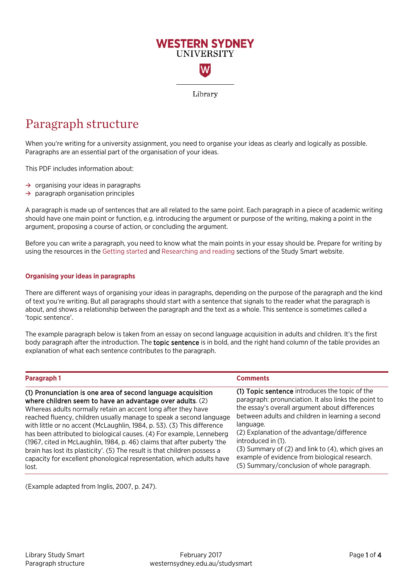

# Paragraph structure

When you're writing for a university assignment, you need to organise your ideas as clearly and logically as possible. Paragraphs are an essential part of the organisation of your ideas.

This PDF includes information about:

- **→** organising your ideas in paragraphs
- **→** paragraph organisation principles

A paragraph is made up of sentences that are all related to the same point. Each paragraph in a piece of academic writing should have one main point or function, e.g. introducing the argument or purpose of the writing, making a point in the argument, proposing a course of action, or concluding the argument.

Before you can write a paragraph, you need to know what the main points in your essay should be. Prepare for writing by using the resources in the [Getting started](http://westernsydney.edu.au/studysmart/home/assignment_help/getting_started) an[d Researching and reading](https://westernsydney.edu.au/studysmart/home/assignment_help/researching_and_reading) sections of the Study Smart website.

#### **Organising your ideas in paragraphs**

There are different ways of organising your ideas in paragraphs, depending on the purpose of the paragraph and the kind of text you're writing. But all paragraphs should start with a sentence that signals to the reader what the paragraph is about, and shows a relationship between the paragraph and the text as a whole. This sentence is sometimes called a 'topic sentence'.

The example paragraph below is taken from an essay on second language acquisition in adults and children. It's the first body paragraph after the introduction. The topic sentence is in bold, and the right hand column of the table provides an explanation of what each sentence contributes to the paragraph.

| Paragraph 1                                                               | <b>Comments</b>                                      |
|---------------------------------------------------------------------------|------------------------------------------------------|
| (1) Pronunciation is one area of second language acquisition              | (1) Topic sentence introduces the topic of the       |
| where children seem to have an advantage over adults. (2)                 | paragraph: pronunciation. It also links the point to |
| Whereas adults normally retain an accent long after they have             | the essay's overall argument about differences       |
| reached fluency, children usually manage to speak a second language       | between adults and children in learning a second     |
| with little or no accent (McLaughlin, 1984, p. 53). (3) This difference   | language.                                            |
| has been attributed to biological causes. (4) For example, Lenneberg      | (2) Explanation of the advantage/difference          |
| (1967, cited in McLaughlin, 1984, p. 46) claims that after puberty 'the   | introduced in (1).                                   |
| brain has lost its plasticity'. (5) The result is that children possess a | (3) Summary of (2) and link to (4), which gives an   |
| capacity for excellent phonological representation, which adults have     | example of evidence from biological research.        |
| lost.                                                                     | (5) Summary/conclusion of whole paragraph.           |

(Example adapted from Inglis, 2007, p. 247).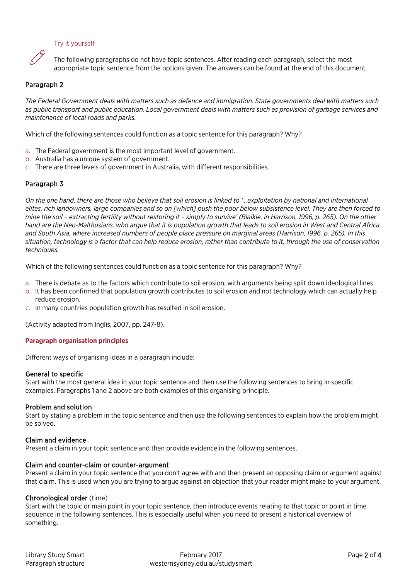### Try it yourself



The following paragraphs do not have topic sentences. After reading each paragraph, select the most appropriate topic sentence from the options given. The answers can be found at the end of this document.

# Paragraph 2

*The Federal Government deals with matters such as defence and immigration. State governments deal with matters such as public transport and public education. Local government deals with matters such as provision of garbage services and maintenance of local roads and parks.*

Which of the following sentences could function as a topic sentence for this paragraph? Why?

- a. The Federal government is the most important level of government.
- b. Australia has a unique system of government.
- c. There are three levels of government in Australia, with different responsibilities.

### Paragraph 3

*On the one hand, there are those who believe that soil erosion is linked to '...exploitation by national and international elites, rich landowners, large companies and so on [which] push the poor below subsistence level. They are then forced to mine the soil – extracting fertility without restoring it – simply to survive' (Blaikie, in Harrison, 1996, p. 265). On the other hand are the Neo-Malthusians, who argue that it is population growth that leads to soil erosion in West and Central Africa and South Asia, where increased numbers of people place pressure on marginal areas (Harrison, 1996, p. 265). In this situation, technology is a factor that can help reduce erosion, rather than contribute to it, through the use of conservation techniques.*

Which of the following sentences could function as a topic sentence for this paragraph? Why?

- a. There is debate as to the factors which contribute to soil erosion, with arguments being split down ideological lines.
- b. It has been confirmed that population growth contributes to soil erosion and not technology which can actually help reduce erosion.
- c. In many countries population growth has resulted in soil erosion.

(Activity adapted from Inglis, 2007, pp. 247-8).

#### **Paragraph organisation principles**

Different ways of organising ideas in a paragraph include:

### General to specific

Start with the most general idea in your topic sentence and then use the following sentences to bring in specific examples. Paragraphs 1 and 2 above are both examples of this organising principle.

### Problem and solution

Start by stating a problem in the topic sentence and then use the following sentences to explain how the problem might be solved.

### Claim and evidence

Present a claim in your topic sentence and then provide evidence in the following sentences.

### Claim and counter-claim or counter-argument

Present a claim in your topic sentence that you don't agree with and then present an opposing claim or argument against that claim. This is used when you are trying to argue against an objection that your reader might make to your argument.

### Chronological order (time)

Start with the topic or main point in your topic sentence, then introduce events relating to that topic or point in time sequence in the following sentences. This is especially useful when you need to present a historical overview of something.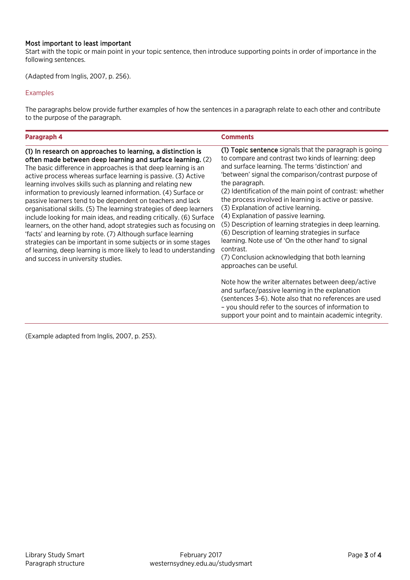## Most important to least important

Start with the topic or main point in your topic sentence, then introduce supporting points in order of importance in the following sentences.

(Adapted from Inglis, 2007, p. 256).

#### Examples

The paragraphs below provide further examples of how the sentences in a paragraph relate to each other and contribute to the purpose of the paragraph.

| Paragraph 4                                                                                                                                                                                                                                                                                                                                                                                                                                                                                                                                                                                                                                                                                                                                                                                                                                                                                                                | <b>Comments</b>                                                                                                                                                                                                                                                                                                                                                                                                                                                                                                                                                                                                                                                                                                        |
|----------------------------------------------------------------------------------------------------------------------------------------------------------------------------------------------------------------------------------------------------------------------------------------------------------------------------------------------------------------------------------------------------------------------------------------------------------------------------------------------------------------------------------------------------------------------------------------------------------------------------------------------------------------------------------------------------------------------------------------------------------------------------------------------------------------------------------------------------------------------------------------------------------------------------|------------------------------------------------------------------------------------------------------------------------------------------------------------------------------------------------------------------------------------------------------------------------------------------------------------------------------------------------------------------------------------------------------------------------------------------------------------------------------------------------------------------------------------------------------------------------------------------------------------------------------------------------------------------------------------------------------------------------|
| (1) In research on approaches to learning, a distinction is<br>often made between deep learning and surface learning. (2)<br>The basic difference in approaches is that deep learning is an<br>active process whereas surface learning is passive. (3) Active<br>learning involves skills such as planning and relating new<br>information to previously learned information. (4) Surface or<br>passive learners tend to be dependent on teachers and lack<br>organisational skills. (5) The learning strategies of deep learners<br>include looking for main ideas, and reading critically. (6) Surface<br>learners, on the other hand, adopt strategies such as focusing on<br>'facts' and learning by rote. (7) Although surface learning<br>strategies can be important in some subjects or in some stages<br>of learning, deep learning is more likely to lead to understanding<br>and success in university studies. | (1) Topic sentence signals that the paragraph is going<br>to compare and contrast two kinds of learning: deep<br>and surface learning. The terms 'distinction' and<br>'between' signal the comparison/contrast purpose of<br>the paragraph.<br>(2) Identification of the main point of contrast: whether<br>the process involved in learning is active or passive.<br>(3) Explanation of active learning.<br>(4) Explanation of passive learning.<br>(5) Description of learning strategies in deep learning.<br>(6) Description of learning strategies in surface<br>learning. Note use of 'On the other hand' to signal<br>contrast.<br>(7) Conclusion acknowledging that both learning<br>approaches can be useful. |
|                                                                                                                                                                                                                                                                                                                                                                                                                                                                                                                                                                                                                                                                                                                                                                                                                                                                                                                            | Note how the writer alternates between deep/active<br>and surface/passive learning in the explanation<br>(sentences 3-6). Note also that no references are used<br>- you should refer to the sources of information to<br>support your point and to maintain academic integrity.                                                                                                                                                                                                                                                                                                                                                                                                                                       |

(Example adapted from Inglis, 2007, p. 253).